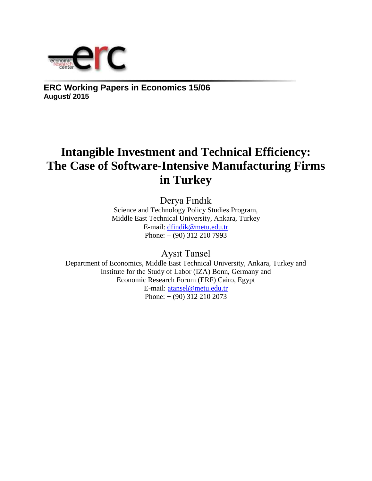

**ERC Working Papers in Economics 15/06 August/ 2015**

# **Intangible Investment and Technical Efficiency: The Case of Software-Intensive Manufacturing Firms in Turkey**

Derya Fındık

Science and Technology Policy Studies Program, Middle East Technical University, Ankara, Turkey E-mail: [dfindik@metu.edu.tr](mailto:dfindik@metu.edu.tr) Phone: + (90) 312 210 7993

Aysıt Tansel

Department of Economics, Middle East Technical University, Ankara, Turkey and Institute for the Study of Labor (IZA) Bonn, Germany and Economic Research Forum (ERF) Cairo, Egypt E-mail: [atansel@metu.edu.tr](mailto:atansel@metu.edu.tr) Phone: + (90) 312 210 2073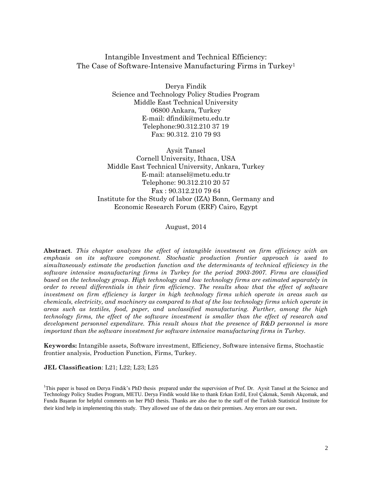Intangible Investment and Technical Efficiency: The Case of Software-Intensive Manufacturing Firms in Turkey<sup>1</sup>

> Derya Findik Science and Technology Policy Studies Program Middle East Technical University 06800 Ankara, Turkey E-mail: dfindik@metu.edu.tr Telephone:90.312.210 37 19 Fax: 90.312. 210 79 93

Aysit Tansel Cornell University, Ithaca, USA Middle East Technical University, Ankara, Turkey E-mail: atansel@metu.edu.tr Telephone: 90.312.210 20 57 Fax : 90.312.210 79 64 Institute for the Study of labor (IZA) Bonn, Germany and Economic Research Forum (ERF) Cairo, Egypt

August, 2014

**Abstract**. *This chapter analyzes the effect of intangible investment on firm efficiency with an emphasis on its software component. Stochastic production frontier approach is used to simultaneously estimate the production function and the determinants of technical efficiency in the software intensive manufacturing firms in Turkey for the period 2003-2007. Firms are classified based on the technology group. High technology and low technology firms are estimated separately in order to reveal differentials in their firm efficiency. The results show that the effect of software investment on firm efficiency is larger in high technology firms which operate in areas such as chemicals, electricity, and machinery as compared to that of the low technology firms which operate in areas such as textiles, food, paper, and unclassified manufacturing. Further, among the high technology firms, the effect of the software investment is smaller than the effect of research and development personnel expenditure. This result shows that the presence of R&D personnel is more important than the software investment for software intensive manufacturing firms in Turkey.*

**Keywords:** Intangible assets, Software investment, Efficiency, Software intensive firms, Stochastic frontier analysis, Production Function, Firms, Turkey.

**JEL Classification**: L21; L22; L23; L25

<sup>1</sup>This paper is based on Derya Findik's PhD thesis prepared under the supervision of Prof. Dr. Aysit Tansel at the Science and Technology Policy Studies Program, METU. Derya Findik would like to thank Erkan Erdil, Erol Çakmak, Semih Akçomak, and Funda Başaran for helpful comments on her PhD thesis. Thanks are also due to the staff of the Turkish Statistical Institute for their kind help in implementing this study. They allowed use of the data on their premises. Any errors are our own.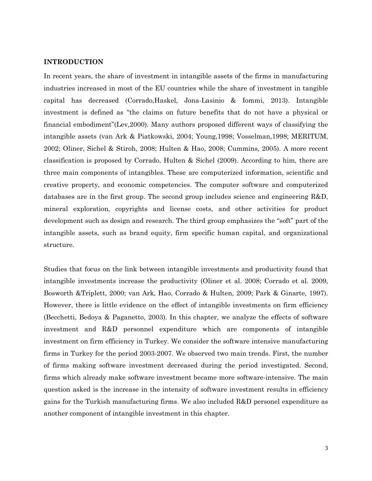#### **INTRODUCTION**

In recent years, the share of investment in intangible assets of the firms in manufacturing industries increased in most of the EU countries while the share of investment in tangible capital has decreased (Corrado,Haskel, Jona-Lasinio & Iommi, 2013). Intangible investment is defined as "the claims on future benefits that do not have a physical or financial embodiment"(Lev,2000). Many authors proposed different ways of classifying the intangible assets (van Ark & Piatkowski, 2004; Young,1998; Vosselman,1998; MERITUM, 2002; Oliner, Sichel & Stiroh, 2008; Hulten & Hao, 2008; Cummins, 2005). A more recent classification is proposed by Corrado, Hulten & Sichel (2009). According to him, there are three main components of intangibles. These are computerized information, scientific and creative property, and economic competencies. The computer software and computerized databases are in the first group. The second group includes science and engineering R&D, mineral exploration, copyrights and license costs, and other activities for product development such as design and research. The third group emphasizes the "soft" part of the intangible assets, such as brand equity, firm specific human capital, and organizational structure.

Studies that focus on the link between intangible investments and productivity found that intangible investments increase the productivity (Oliner et al. 2008; Corrado et al. 2009, Bosworth &Triplett, 2000; van Ark, Hao, Corrado & Hulten, 2009; Park & Ginarte, 1997). However, there is little evidence on the effect of intangible investments on firm efficiency (Becchetti, Bedoya & Paganetto, 2003). In this chapter, we analyze the effects of software investment and R&D personnel expenditure which are components of intangible investment on firm efficiency in Turkey. We consider the software intensive manufacturing firms in Turkey for the period 2003-2007. We observed two main trends. First, the number of firms making software investment decreased during the period investigated. Second, firms which already make software investment became more software-intensive. The main question asked is the increase in the intensity of software investment results in efficiency gains for the Turkish manufacturing firms. We also included R&D personel expenditure as another component of intangible investment in this chapter.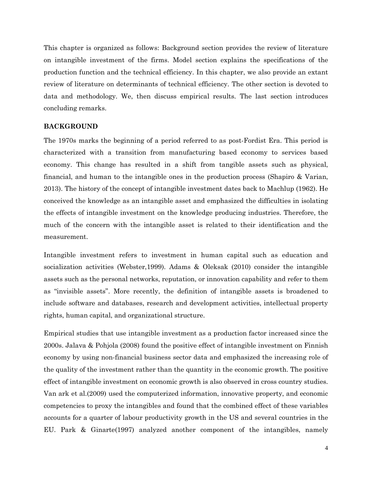This chapter is organized as follows: Background section provides the review of literature on intangible investment of the firms. Model section explains the specifications of the production function and the technical efficiency. In this chapter, we also provide an extant review of literature on determinants of technical efficiency. The other section is devoted to data and methodology. We, then discuss empirical results. The last section introduces concluding remarks.

#### **BACKGROUND**

The 1970s marks the beginning of a period referred to as post-Fordist Era. This period is characterized with a transition from manufacturing based economy to services based economy. This change has resulted in a shift from tangible assets such as physical, financial, and human to the intangible ones in the production process (Shapiro & Varian, 2013). The history of the concept of intangible investment dates back to Machlup (1962). He conceived the knowledge as an intangible asset and emphasized the difficulties in isolating the effects of intangible investment on the knowledge producing industries. Therefore, the much of the concern with the intangible asset is related to their identification and the measurement.

Intangible investment refers to investment in human capital such as education and socialization activities (Webster,1999). Adams & Oleksak (2010) consider the intangible assets such as the personal networks, reputation, or innovation capability and refer to them as "invisible assets". More recently, the definition of intangible assets is broadened to include software and databases, research and development activities, intellectual property rights, human capital, and organizational structure.

Empirical studies that use intangible investment as a production factor increased since the 2000s. Jalava & Pohjola (2008) found the positive effect of intangible investment on Finnish economy by using non-financial business sector data and emphasized the increasing role of the quality of the investment rather than the quantity in the economic growth. The positive effect of intangible investment on economic growth is also observed in cross country studies. Van ark et al.(2009) used the computerized information, innovative property, and economic competencies to proxy the intangibles and found that the combined effect of these variables accounts for a quarter of labour productivity growth in the US and several countries in the EU. Park & Ginarte(1997) analyzed another component of the intangibles, namely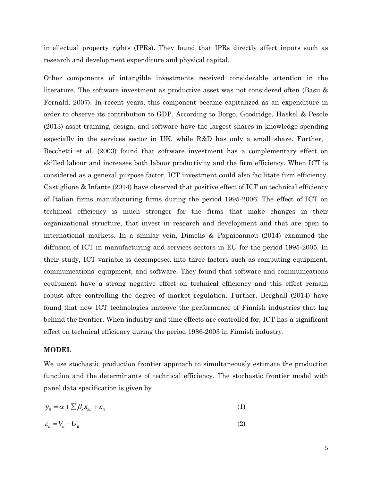intellectual property rights (IPRs). They found that IPRs directly affect inputs such as research and development expenditure and physical capital.

Other components of intangible investments received considerable attention in the literature. The software investment as productive asset was not considered often (Basu & Fernald, 2007). In recent years, this component became capitalized as an expenditure in order to observe its contribution to GDP. According to Borgo, Goodridge, Haskel & Pesole (2013) asset training, design, and software have the largest shares in knowledge spending especially in the services sector in UK, while R&D has only a small share. Further, Becchetti et al. (2003) found that software investment has a complementary effect on skilled labour and increases both labour productivity and the firm efficiency. When ICT is considered as a general purpose factor, ICT investment could also facilitate firm efficiency. Castiglione & Infante (2014) have observed that positive effect of ICT on technical efficiency of Italian firms manufacturing firms during the period 1995-2006. The effect of ICT on technical efficiency is much stronger for the firms that make changes in their organizational structure, that invest in research and development and that are open to international markets. In a similar vein, Dimelis & Papaioannou (2014) examined the diffusion of ICT in manufacturing and services sectors in EU for the period 1995-2005. In their study, ICT variable is decomposed into three factors such as computing equipment, communications' equipment, and software. They found that software and communications equipment have a strong negative effect on technical efficiency and this effect remain robust after controlling the degree of market regulation. Further, Berghall (2014) have found that new ICT technologies improve the performance of Finnish industries that lag behind the frontier. When industry and time effects are controlled for, ICT has a significant effect on technical efficiency during the period 1986-2003 in Finnish industry.

#### **MODEL**

We use stochastic production frontier approach to simultaneously estimate the production function and the determinants of technical efficiency. The stochastic frontier model with panel data specification is given by

$$
y_{it} = \alpha + \sum \beta_x x_{kit} + \varepsilon_{it} \tag{1}
$$

$$
\varepsilon_{it} = V_{it} - U_{it} \tag{2}
$$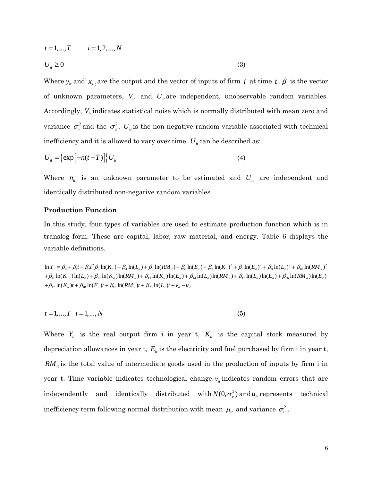$$
t = 1,...,T
$$
  $i = 1, 2,...,N$   
 $U_{ii} \ge 0$  (3)

Where  $y_i$  and  $x_{ki}$  are the output and the vector of inputs of firm *i* at time  $t \cdot \beta$  is the vector of unknown parameters,  $V_{it}$  and  $U_{it}$  are independent, unobservable random variables. Accordingly,  $V_{ii}$  indicates statistical noise which is normally distributed with mean zero and variance  $\sigma_v^2$  and the  $\sigma_u^2$ .  $U_u$  is the non-negative random variable associated with technical inefficiency and it is allowed to vary over time.  $U_i$  can be described as:

$$
U_{it} = \left\{ \exp\left[-n(t-T)\right] \right\} U_{it} \tag{4}
$$

Where  $n_{it}$  is an unknown parameter to be estimated and  $U_{it}$  are independent and identically distributed non-negative random variables.

#### **Production Function**

In this study, four types of variables are used to estimate production function which is in translog form. These are capital, labor, raw material, and energy. Table 6 displays the variable definitions.

 $\ln Y_{it} = \beta_0 + \beta_1 t + \beta_2 t^2 \beta_3 \ln(K_{it}) + \beta_4 \ln(L_{it}) + \beta_5 \ln(RM_{it}) + \beta_6 \ln(E_{it}) + \beta_7 \ln(K_{it})^2 + \beta_8 \ln(E_{it})^2 + \beta_9 \ln(L_{it})^2 + \beta_{10} \ln(RM_{it})^2$  $+\beta_{11} \ln(K_{ii}) \ln(L_{ii}) + \beta_{12} \ln(K_{ii}) \ln(RM_{ii}) + \beta_{13} \ln(K_{ii}) \ln(E_{ii}) + \beta_{14} \ln(L_{ii}) \ln(RM_{ii}) + \beta_{15} \ln(L_{ii}) \ln(E_{ii}) + \beta_{16} \ln(RM_{ii}) \ln(E_{ii})$  $+\beta_{17} \ln(K_{it})t + \beta_{18} \ln(E_{it})t + \beta_{19} \ln(RM_{it})t + \beta_{20} \ln(L_{it})t + v_{it} - u_{it}$ 

$$
t = 1, \dots, T \quad i = 1, \dots, N \tag{5}
$$

Where  $Y_{it}$  is the real output firm i in year t,  $K_{it}$  is the capital stock measured by depreciation allowances in year t,  $E_{it}$  is the electricity and fuel purchased by firm i in year t,  $RM_{\mu}$  is the total value of intermediate goods used in the production of inputs by firm i in year t. Time variable indicates technological change.  $v_{\mu}$  indicates random errors that are independently and identically distributed with  $N(0, \sigma_v^2)$  and  $u_u$  represents technical inefficiency term following normal distribution with mean  $\mu_{\scriptscriptstyle \!\! u}$  and variance  $\sigma_{\scriptscriptstyle u}^2$  .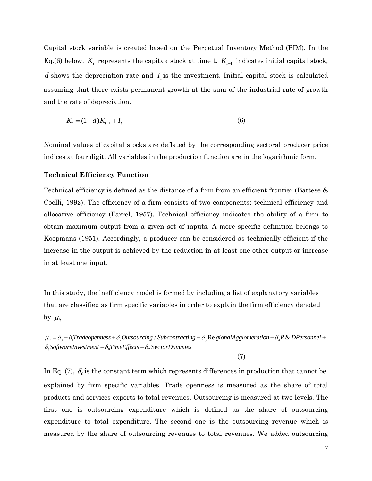Capital stock variable is created based on the Perpetual Inventory Method (PIM). In the Eq.(6) below,  $K_t$  represents the capitak stock at time t.  $K_{t-1}$  indicates initial capital stock, *d* shows the depreciation rate and  $I_t$  is the investment. Initial capital stock is calculated assuming that there exists permanent growth at the sum of the industrial rate of growth and the rate of depreciation.

$$
K_t = (1 - d)K_{t-1} + I_t
$$
\n(6)

Nominal values of capital stocks are deflated by the corresponding sectoral producer price indices at four digit. All variables in the production function are in the logarithmic form.

#### **Technical Efficiency Function**

Technical efficiency is defined as the distance of a firm from an efficient frontier (Battese & Coelli, 1992). The efficiency of a firm consists of two components: technical efficiency and allocative efficiency (Farrel, 1957). Technical efficiency indicates the ability of a firm to obtain maximum output from a given set of inputs. A more specific definition belongs to Koopmans (1951). Accordingly, a producer can be considered as technically efficient if the increase in the output is achieved by the reduction in at least one other output or increase in at least one input.

In this study, the inefficiency model is formed by including a list of explanatory variables that are classified as firm specific variables in order to explain the firm efficiency denoted by  $\mu_{it}$ .

 $\mu_{\mu}=\delta_0+\delta_1$ Tradeopenness +  $\delta_2$ Outsourcing / Subcontracting +  $\delta_3$  Re gionalAgglomeration +  $\delta_4$ R & DPersonnel +  $\delta_{\rm s}$ SoftwareInvestment +  $\delta_{\rm s}$ TimeEffects +  $\delta_{\rm r}$  SectorDummies

(7)

In Eq. (7),  $\delta_0$  is the constant term which represents differences in production that cannot be explained by firm specific variables. Trade openness is measured as the share of total products and services exports to total revenues. Outsourcing is measured at two levels. The first one is outsourcing expenditure which is defined as the share of outsourcing expenditure to total expenditure. The second one is the outsourcing revenue which is measured by the share of outsourcing revenues to total revenues. We added outsourcing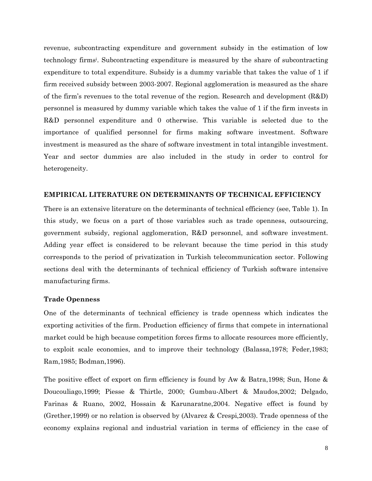revenue, subcontracting expenditure and government subsidy in the estimation of low technology firms<sup>i</sup> . Subcontracting expenditure is measured by the share of subcontracting expenditure to total expenditure. Subsidy is a dummy variable that takes the value of 1 if firm received subsidy between 2003-2007. Regional agglomeration is measured as the share of the firm's revenues to the total revenue of the region. Research and development (R&D) personnel is measured by dummy variable which takes the value of 1 if the firm invests in R&D personnel expenditure and 0 otherwise. This variable is selected due to the importance of qualified personnel for firms making software investment. Software investment is measured as the share of software investment in total intangible investment. Year and sector dummies are also included in the study in order to control for heterogeneity.

### **EMPIRICAL LITERATURE ON DETERMINANTS OF TECHNICAL EFFICIENCY**

There is an extensive literature on the determinants of technical efficiency (see, Table 1). In this study, we focus on a part of those variables such as trade openness, outsourcing, government subsidy, regional agglomeration, R&D personnel, and software investment. Adding year effect is considered to be relevant because the time period in this study corresponds to the period of privatization in Turkish telecommunication sector. Following sections deal with the determinants of technical efficiency of Turkish software intensive manufacturing firms.

#### **Trade Openness**

One of the determinants of technical efficiency is trade openness which indicates the exporting activities of the firm. Production efficiency of firms that compete in international market could be high because competition forces firms to allocate resources more efficiently, to exploit scale economies, and to improve their technology (Balassa,1978; Feder,1983; Ram,1985; Bodman,1996).

The positive effect of export on firm efficiency is found by Aw & Batra,1998; Sun, Hone & Doucouliago,1999; Piesse & Thirtle, 2000; Gumbau-Albert & Maudos,2002; Delgado, Farinas & Ruano, 2002, Hossain & Karunaratne,2004. Negative effect is found by (Grether,1999) or no relation is observed by (Alvarez & Crespi,2003). Trade openness of the economy explains regional and industrial variation in terms of efficiency in the case of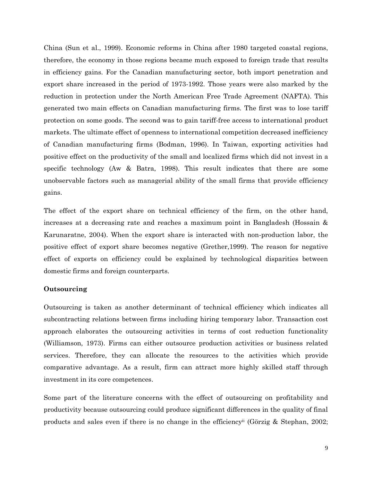China (Sun et al., 1999). Economic reforms in China after 1980 targeted coastal regions, therefore, the economy in those regions became much exposed to foreign trade that results in efficiency gains. For the Canadian manufacturing sector, both import penetration and export share increased in the period of 1973-1992. Those years were also marked by the reduction in protection under the North American Free Trade Agreement (NAFTA). This generated two main effects on Canadian manufacturing firms. The first was to lose tariff protection on some goods. The second was to gain tariff-free access to international product markets. The ultimate effect of openness to international competition decreased inefficiency of Canadian manufacturing firms (Bodman, 1996). In Taiwan, exporting activities had positive effect on the productivity of the small and localized firms which did not invest in a specific technology (Aw & Batra, 1998). This result indicates that there are some unobservable factors such as managerial ability of the small firms that provide efficiency gains.

The effect of the export share on technical efficiency of the firm, on the other hand, increases at a decreasing rate and reaches a maximum point in Bangladesh (Hossain & Karunaratne, 2004). When the export share is interacted with non-production labor, the positive effect of export share becomes negative (Grether,1999). The reason for negative effect of exports on efficiency could be explained by technological disparities between domestic firms and foreign counterparts.

#### **Outsourcing**

Outsourcing is taken as another determinant of technical efficiency which indicates all subcontracting relations between firms including hiring temporary labor. Transaction cost approach elaborates the outsourcing activities in terms of cost reduction functionality (Williamson, 1973). Firms can either outsource production activities or business related services. Therefore, they can allocate the resources to the activities which provide comparative advantage. As a result, firm can attract more highly skilled staff through investment in its core competences.

Some part of the literature concerns with the effect of outsourcing on profitability and productivity because outsourcing could produce significant differences in the quality of final products and sales even if there is no change in the efficiency<sup>ii</sup> (Görzig & Stephan, 2002;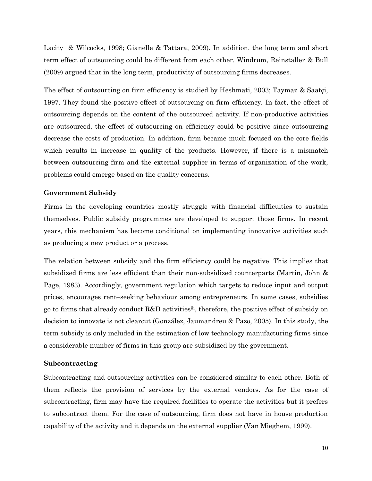Lacity & Wilcocks, 1998; Gianelle & Tattara, 2009). In addition, the long term and short term effect of outsourcing could be different from each other. Windrum, Reinstaller & Bull (2009) argued that in the long term, productivity of outsourcing firms decreases.

The effect of outsourcing on firm efficiency is studied by Heshmati, 2003; Taymaz & Saatçi, 1997. They found the positive effect of outsourcing on firm efficiency. In fact, the effect of outsourcing depends on the content of the outsourced activity. If non-productive activities are outsourced, the effect of outsourcing on efficiency could be positive since outsourcing decrease the costs of production. In addition, firm became much focused on the core fields which results in increase in quality of the products. However, if there is a mismatch between outsourcing firm and the external supplier in terms of organization of the work, problems could emerge based on the quality concerns.

# **Government Subsidy**

Firms in the developing countries mostly struggle with financial difficulties to sustain themselves. Public subsidy programmes are developed to support those firms. In recent years, this mechanism has become conditional on implementing innovative activities such as producing a new product or a process.

The relation between subsidy and the firm efficiency could be negative. This implies that subsidized firms are less efficient than their non-subsidized counterparts (Martin, John & Page, 1983). Accordingly, government regulation which targets to reduce input and output prices, encourages rent–seeking behaviour among entrepreneurs. In some cases, subsidies go to firms that already conduct R&D activitiesiii, therefore, the positive effect of subsidy on decision to innovate is not clearcut (González, Jaumandreu & Pazo, 2005). In this study, the term subsidy is only included in the estimation of low technology manufacturing firms since a considerable number of firms in this group are subsidized by the government.

#### **Subcontracting**

Subcontracting and outsourcing activities can be considered similar to each other. Both of them reflects the provision of services by the external vendors. As for the case of subcontracting, firm may have the required facilities to operate the activities but it prefers to subcontract them. For the case of outsourcing, firm does not have in house production capability of the activity and it depends on the external supplier (Van Mieghem, 1999).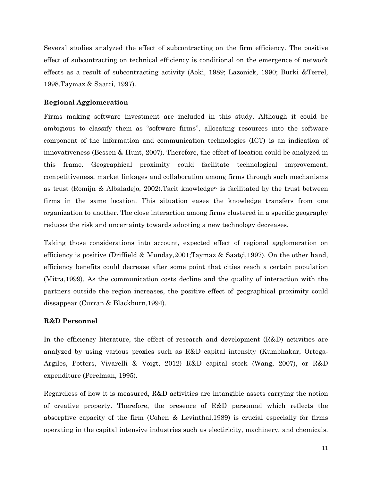Several studies analyzed the effect of subcontracting on the firm efficiency. The positive effect of subcontracting on technical efficiency is conditional on the emergence of network effects as a result of subcontracting activity (Aoki, 1989; Lazonick, 1990; Burki &Terrel, 1998,Taymaz & Saatci, 1997).

# **Regional Agglomeration**

Firms making software investment are included in this study. Although it could be ambigious to classify them as "software firms", allocating resources into the software component of the information and communication technologies (ICT) is an indication of innovativeness (Bessen & Hunt, 2007). Therefore, the effect of location could be analyzed in this frame. Geographical proximity could facilitate technological improvement, competitiveness, market linkages and collaboration among firms through such mechanisms as trust (Romijn & Albaladejo, 2002).Tacit knowledgeiv is facilitated by the trust between firms in the same location. This situation eases the knowledge transfers from one organization to another. The close interaction among firms clustered in a specific geography reduces the risk and uncertainty towards adopting a new technology decreases.

Taking those considerations into account, expected effect of regional agglomeration on efficiency is positive (Driffield & Munday,2001;Taymaz & Saatçi,1997). On the other hand, efficiency benefits could decrease after some point that cities reach a certain population (Mitra,1999). As the communication costs decline and the quality of interaction with the partners outside the region increases, the positive effect of geographical proximity could dissappear (Curran & Blackburn,1994).

# **R&D Personnel**

In the efficiency literature, the effect of research and development (R&D) activities are analyzed by using various proxies such as R&D capital intensity (Kumbhakar, Ortega-Argiles, Potters, Vivarelli & Voigt, 2012) R&D capital stock (Wang, 2007), or R&D expenditure (Perelman, 1995).

Regardless of how it is measured, R&D activities are intangible assets carrying the notion of creative property. Therefore, the presence of R&D personnel which reflects the absorptive capacity of the firm (Cohen & Levinthal,1989) is crucial especially for firms operating in the capital intensive industries such as electiricity, machinery, and chemicals.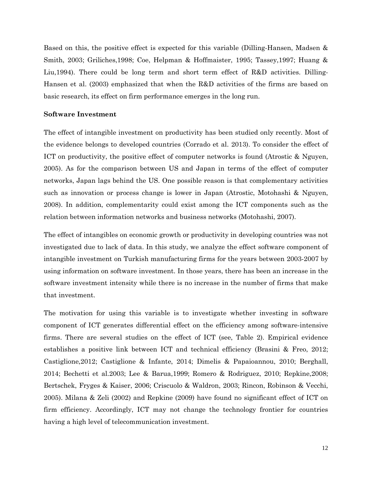Based on this, the positive effect is expected for this variable (Dilling-Hansen, Madsen & Smith, 2003; Griliches,1998; Coe, Helpman & Hoffmaister, 1995; Tassey,1997; Huang & Liu, 1994). There could be long term and short term effect of R&D activities. Dilling-Hansen et al. (2003) emphasized that when the R&D activities of the firms are based on basic research, its effect on firm performance emerges in the long run.

#### **Software Investment**

The effect of intangible investment on productivity has been studied only recently. Most of the evidence belongs to developed countries (Corrado et al. 2013). To consider the effect of ICT on productivity, the positive effect of computer networks is found (Atrostic & Nguyen, 2005). As for the comparison between US and Japan in terms of the effect of computer networks, Japan lags behind the US. One possible reason is that complementary activities such as innovation or process change is lower in Japan (Atrostic, Motohashi & Nguyen, 2008). In addition, complementarity could exist among the ICT components such as the relation between information networks and business networks (Motohashi, 2007).

The effect of intangibles on economic growth or productivity in developing countries was not investigated due to lack of data. In this study, we analyze the effect software component of intangible investment on Turkish manufacturing firms for the years between 2003-2007 by using information on software investment. In those years, there has been an increase in the software investment intensity while there is no increase in the number of firms that make that investment.

The motivation for using this variable is to investigate whether investing in software component of ICT generates differential effect on the efficiency among software-intensive firms. There are several studies on the effect of ICT (see, Table 2). Empirical evidence establishes a positive link between ICT and technical efficiency (Brasini & Freo, 2012; Castiglione,2012; Castiglione & Infante, 2014; Dimelis & Papaioannou, 2010; Berghall, 2014; Bechetti et al.2003; Lee & Barua,1999; Romero & Rodriguez, 2010; Repkine,2008; Bertschek, Fryges & Kaiser, 2006; Criscuolo & Waldron, 2003; Rincon, Robinson & Vecchi, 2005). Milana & Zeli (2002) and Repkine (2009) have found no significant effect of ICT on firm efficiency. Accordingly, ICT may not change the technology frontier for countries having a high level of telecommunication investment.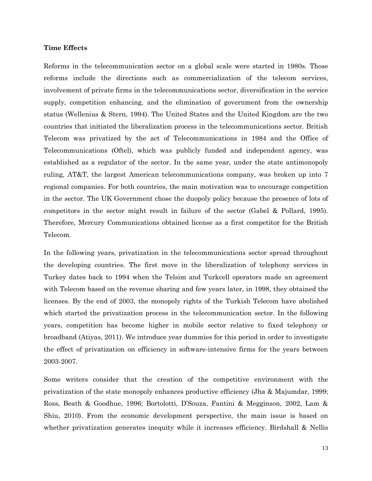#### **Time Effects**

Reforms in the telecommunication sector on a global scale were started in 1980s. Those reforms include the directions such as commercialization of the telecom services, involvement of private firms in the telecommunications sector, diversification in the service supply, competition enhancing, and the elimination of government from the ownership status (Wellenius & Stern, 1994). The United States and the United Kingdom are the two countries that initiated the liberalization process in the telecommunications sector. British Telecom was privatized by the act of Telecommunications in 1984 and the Office of Telecommunications (Oftel), which was publicly funded and independent agency, was established as a regulator of the sector. In the same year, under the state antimonopoly ruling, AT&T, the largest American telecommunications company, was broken up into 7 regional companies. For both countries, the main motivation was to encourage competition in the sector. The UK Government chose the duopoly policy because the presence of lots of competitors in the sector might result in failure of the sector (Gabel & Pollard, 1995). Therefore, Mercury Communications obtained license as a first competitor for the British Telecom.

In the following years, privatization in the telecommunications sector spread throughout the developing countries. The first move in the liberalization of telephony services in Turkey dates back to 1994 when the Telsim and Turkcell operators made an agreement with Telecom based on the revenue sharing and few years later, in 1998, they obtained the licenses. By the end of 2003, the monopoly rights of the Turkish Telecom have abolished which started the privatization process in the telecommunication sector. In the following years, competition has become higher in mobile sector relative to fixed telephony or broadband (Atiyas, 2011). We introduce year dummies for this period in order to investigate the effect of privatization on efficiency in software-intensive firms for the years between 2003-2007.

Some writers consider that the creation of the competitive environment with the privatization of the state monopoly enhances productive efficiency (Jha & Majumdar, 1999; Ross, Beath & Goodhue, 1996; Bortolotti, D'Souza, Fantini & Megginson, 2002, Lam & Shiu, 2010). From the economic development perspective, the main issue is based on whether privatization generates inequity while it increases efficiency. Birdshall & Nellis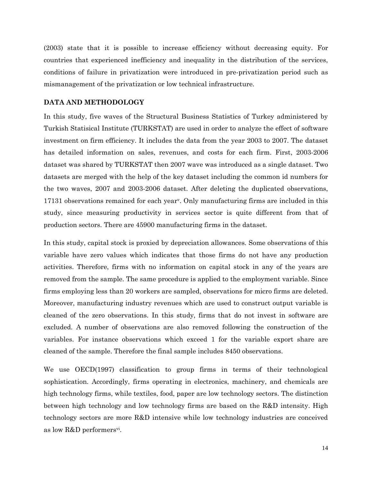(2003) state that it is possible to increase efficiency without decreasing equity. For countries that experienced inefficiency and inequality in the distribution of the services, conditions of failure in privatization were introduced in pre-privatization period such as mismanagement of the privatization or low technical infrastructure.

#### **DATA AND METHODOLOGY**

In this study, five waves of the Structural Business Statistics of Turkey administered by Turkish Statisical Institute (TURKSTAT) are used in order to analyze the effect of software investment on firm efficiency. It includes the data from the year 2003 to 2007. The dataset has detailed information on sales, revenues, and costs for each firm. First, 2003-2006 dataset was shared by TURKSTAT then 2007 wave was introduced as a single dataset. Two datasets are merged with the help of the key dataset including the common id numbers for the two waves, 2007 and 2003-2006 dataset. After deleting the duplicated observations, 17131 observations remained for each year<sup>v</sup> . Only manufacturing firms are included in this study, since measuring productivity in services sector is quite different from that of production sectors. There are 45900 manufacturing firms in the dataset.

In this study, capital stock is proxied by depreciation allowances. Some observations of this variable have zero values which indicates that those firms do not have any production activities. Therefore, firms with no information on capital stock in any of the years are removed from the sample. The same procedure is applied to the employment variable. Since firms employing less than 20 workers are sampled, observations for micro firms are deleted. Moreover, manufacturing industry revenues which are used to construct output variable is cleaned of the zero observations. In this study, firms that do not invest in software are excluded. A number of observations are also removed following the construction of the variables. For instance observations which exceed 1 for the variable export share are cleaned of the sample. Therefore the final sample includes 8450 observations.

We use OECD(1997) classification to group firms in terms of their technological sophistication. Accordingly, firms operating in electronics, machinery, and chemicals are high technology firms, while textiles, food, paper are low technology sectors. The distinction between high technology and low technology firms are based on the R&D intensity. High technology sectors are more R&D intensive while low technology industries are conceived as low R&D performers<sup>vi</sup>.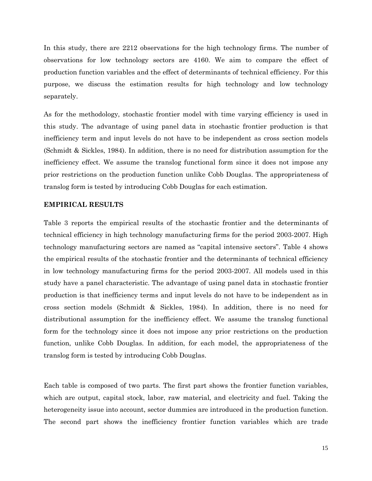In this study, there are 2212 observations for the high technology firms. The number of observations for low technology sectors are 4160. We aim to compare the effect of production function variables and the effect of determinants of technical efficiency. For this purpose, we discuss the estimation results for high technology and low technology separately.

As for the methodology, stochastic frontier model with time varying efficiency is used in this study. The advantage of using panel data in stochastic frontier production is that inefficiency term and input levels do not have to be independent as cross section models (Schmidt & Sickles, 1984). In addition, there is no need for distribution assumption for the inefficiency effect. We assume the translog functional form since it does not impose any prior restrictions on the production function unlike Cobb Douglas. The appropriateness of translog form is tested by introducing Cobb Douglas for each estimation.

### **EMPIRICAL RESULTS**

Table 3 reports the empirical results of the stochastic frontier and the determinants of technical efficiency in high technology manufacturing firms for the period 2003-2007. High technology manufacturing sectors are named as "capital intensive sectors". Table 4 shows the empirical results of the stochastic frontier and the determinants of technical efficiency in low technology manufacturing firms for the period 2003-2007. All models used in this study have a panel characteristic. The advantage of using panel data in stochastic frontier production is that inefficiency terms and input levels do not have to be independent as in cross section models (Schmidt & Sickles, 1984). In addition, there is no need for distributional assumption for the inefficiency effect. We assume the translog functional form for the technology since it does not impose any prior restrictions on the production function, unlike Cobb Douglas. In addition, for each model, the appropriateness of the translog form is tested by introducing Cobb Douglas.

Each table is composed of two parts. The first part shows the frontier function variables, which are output, capital stock, labor, raw material, and electricity and fuel. Taking the heterogeneity issue into account, sector dummies are introduced in the production function. The second part shows the inefficiency frontier function variables which are trade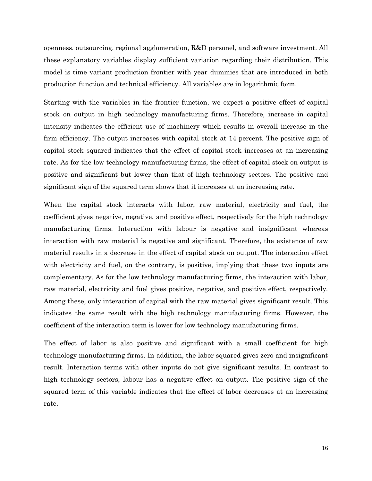openness, outsourcing, regional agglomeration, R&D personel, and software investment. All these explanatory variables display sufficient variation regarding their distribution. This model is time variant production frontier with year dummies that are introduced in both production function and technical efficiency. All variables are in logarithmic form.

Starting with the variables in the frontier function, we expect a positive effect of capital stock on output in high technology manufacturing firms. Therefore, increase in capital intensity indicates the efficient use of machinery which results in overall increase in the firm efficiency. The output increases with capital stock at 14 percent. The positive sign of capital stock squared indicates that the effect of capital stock increases at an increasing rate. As for the low technology manufacturing firms, the effect of capital stock on output is positive and significant but lower than that of high technology sectors. The positive and significant sign of the squared term shows that it increases at an increasing rate.

When the capital stock interacts with labor, raw material, electricity and fuel, the coefficient gives negative, negative, and positive effect, respectively for the high technology manufacturing firms. Interaction with labour is negative and insignificant whereas interaction with raw material is negative and significant. Therefore, the existence of raw material results in a decrease in the effect of capital stock on output. The interaction effect with electricity and fuel, on the contrary, is positive, implying that these two inputs are complementary. As for the low technology manufacturing firms, the interaction with labor, raw material, electricity and fuel gives positive, negative, and positive effect, respectively. Among these, only interaction of capital with the raw material gives significant result. This indicates the same result with the high technology manufacturing firms. However, the coefficient of the interaction term is lower for low technology manufacturing firms.

The effect of labor is also positive and significant with a small coefficient for high technology manufacturing firms. In addition, the labor squared gives zero and insignificant result. Interaction terms with other inputs do not give significant results. In contrast to high technology sectors, labour has a negative effect on output. The positive sign of the squared term of this variable indicates that the effect of labor decreases at an increasing rate.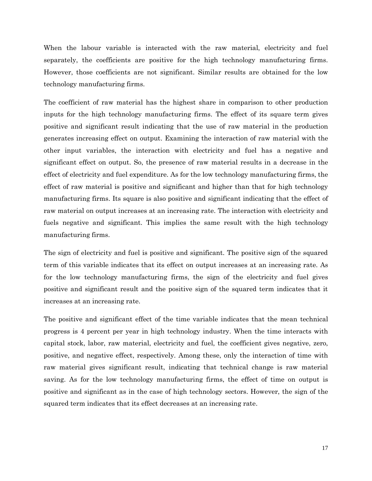When the labour variable is interacted with the raw material, electricity and fuel separately, the coefficients are positive for the high technology manufacturing firms. However, those coefficients are not significant. Similar results are obtained for the low technology manufacturing firms.

The coefficient of raw material has the highest share in comparison to other production inputs for the high technology manufacturing firms. The effect of its square term gives positive and significant result indicating that the use of raw material in the production generates increasing effect on output. Examining the interaction of raw material with the other input variables, the interaction with electricity and fuel has a negative and significant effect on output. So, the presence of raw material results in a decrease in the effect of electricity and fuel expenditure. As for the low technology manufacturing firms, the effect of raw material is positive and significant and higher than that for high technology manufacturing firms. Its square is also positive and significant indicating that the effect of raw material on output increases at an increasing rate. The interaction with electricity and fuels negative and significant. This implies the same result with the high technology manufacturing firms.

The sign of electricity and fuel is positive and significant. The positive sign of the squared term of this variable indicates that its effect on output increases at an increasing rate. As for the low technology manufacturing firms, the sign of the electricity and fuel gives positive and significant result and the positive sign of the squared term indicates that it increases at an increasing rate.

The positive and significant effect of the time variable indicates that the mean technical progress is 4 percent per year in high technology industry. When the time interacts with capital stock, labor, raw material, electricity and fuel, the coefficient gives negative, zero, positive, and negative effect, respectively. Among these, only the interaction of time with raw material gives significant result, indicating that technical change is raw material saving. As for the low technology manufacturing firms, the effect of time on output is positive and significant as in the case of high technology sectors. However, the sign of the squared term indicates that its effect decreases at an increasing rate.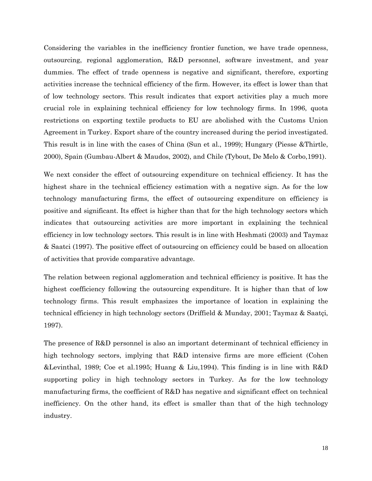Considering the variables in the inefficiency frontier function, we have trade openness, outsourcing, regional agglomeration, R&D personnel, software investment, and year dummies. The effect of trade openness is negative and significant, therefore, exporting activities increase the technical efficiency of the firm. However, its effect is lower than that of low technology sectors. This result indicates that export activities play a much more crucial role in explaining technical efficiency for low technology firms. In 1996, quota restrictions on exporting textile products to EU are abolished with the Customs Union Agreement in Turkey. Export share of the country increased during the period investigated. This result is in line with the cases of China (Sun et al., 1999); Hungary (Piesse &Thirtle, 2000), Spain (Gumbau-Albert & Maudos, 2002), and Chile (Tybout, De Melo & Corbo,1991).

We next consider the effect of outsourcing expenditure on technical efficiency. It has the highest share in the technical efficiency estimation with a negative sign. As for the low technology manufacturing firms, the effect of outsourcing expenditure on efficiency is positive and significant. Its effect is higher than that for the high technology sectors which indicates that outsourcing activities are more important in explaining the technical efficiency in low technology sectors. This result is in line with Heshmati (2003) and Taymaz & Saatci (1997). The positive effect of outsourcing on efficiency could be based on allocation of activities that provide comparative advantage.

The relation between regional agglomeration and technical efficiency is positive. It has the highest coefficiency following the outsourcing expenditure. It is higher than that of low technology firms. This result emphasizes the importance of location in explaining the technical efficiency in high technology sectors (Driffield & Munday, 2001; Taymaz & Saatçi, 1997).

The presence of R&D personnel is also an important determinant of technical efficiency in high technology sectors, implying that R&D intensive firms are more efficient (Cohen &Levinthal, 1989; Coe et al.1995; Huang & Liu,1994). This finding is in line with R&D supporting policy in high technology sectors in Turkey. As for the low technology manufacturing firms, the coefficient of R&D has negative and significant effect on technical inefficiency. On the other hand, its effect is smaller than that of the high technology industry.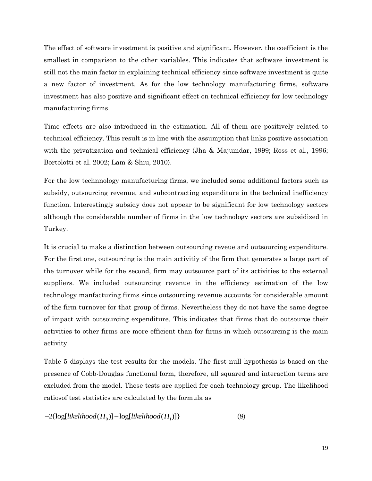The effect of software investment is positive and significant. However, the coefficient is the smallest in comparison to the other variables. This indicates that software investment is still not the main factor in explaining technical efficiency since software investment is quite a new factor of investment. As for the low technology manufacturing firms, software investment has also positive and significant effect on technical efficiency for low technology manufacturing firms.

Time effects are also introduced in the estimation. All of them are positively related to technical efficiency. This result is in line with the assumption that links positive association with the privatization and technical efficiency (Jha & Majumdar, 1999; Ross et al., 1996; Bortolotti et al. 2002; Lam & Shiu, 2010).

For the low technnology manufacturing firms, we included some additional factors such as subsidy, outsourcing revenue, and subcontracting expenditure in the technical inefficiency function. Interestingly subsidy does not appear to be significant for low technology sectors although the considerable number of firms in the low technology sectors are subsidized in Turkey.

It is crucial to make a distinction between outsourcing reveue and outsourcing expenditure. For the first one, outsourcing is the main activitiy of the firm that generates a large part of the turnover while for the second, firm may outsource part of its activities to the external suppliers. We included outsourcing revenue in the efficiency estimation of the low technology manfacturing firms since outsourcing revenue accounts for considerable amount of the firm turnover for that group of firms. Nevertheless they do not have the same degree of impact with outsourcing expenditure. This indicates that firms that do outsource their activities to other firms are more efficient than for firms in which outsourcing is the main activity.

Table 5 displays the test results for the models. The first null hypothesis is based on the presence of Cobb-Douglas functional form, therefore, all squared and interaction terms are excluded from the model. These tests are applied for each technology group. The likelihood ratiosof test statistics are calculated by the formula as

$$
-2\{\log[likelihood(H_0)] - \log[likelihood(H_1)]\}\tag{8}
$$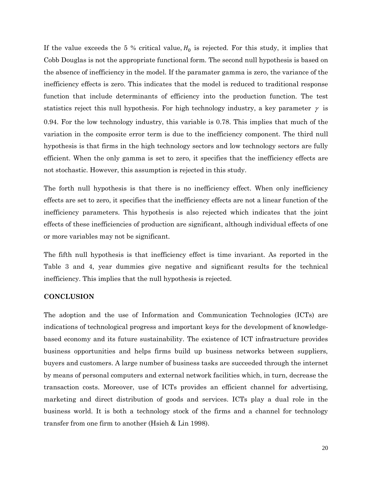If the value exceeds the 5 % critical value,  $H_0$  is rejected. For this study, it implies that Cobb Douglas is not the appropriate functional form. The second null hypothesis is based on the absence of inefficiency in the model. If the paramater gamma is zero, the variance of the inefficiency effects is zero. This indicates that the model is reduced to traditional response function that include determinants of efficiency into the production function. The test statistics reject this null hypothesis. For high technology industry, a key parameter  $\gamma$  is 0.94. For the low technology industry, this variable is 0.78. This implies that much of the variation in the composite error term is due to the inefficiency component. The third null hypothesis is that firms in the high technology sectors and low technology sectors are fully efficient. When the only gamma is set to zero, it specifies that the inefficiency effects are not stochastic. However, this assumption is rejected in this study.

The forth null hypothesis is that there is no inefficiency effect. When only inefficiency effects are set to zero, it specifies that the inefficiency effects are not a linear function of the inefficiency parameters. This hypothesis is also rejected which indicates that the joint effects of these inefficiencies of production are significant, although individual effects of one or more variables may not be significant.

The fifth null hypothesis is that inefficiency effect is time invariant. As reported in the Table 3 and 4, year dummies give negative and significant results for the technical inefficiency. This implies that the null hypothesis is rejected.

# **CONCLUSION**

The adoption and the use of Information and Communication Technologies (ICTs) are indications of technological progress and important keys for the development of knowledgebased economy and its future sustainability. The existence of ICT infrastructure provides business opportunities and helps firms build up business networks between suppliers, buyers and customers. A large number of business tasks are succeeded through the internet by means of personal computers and external network facilities which, in turn, decrease the transaction costs. Moreover, use of ICTs provides an efficient channel for advertising, marketing and direct distribution of goods and services. ICTs play a dual role in the business world. It is both a technology stock of the firms and a channel for technology transfer from one firm to another (Hsieh & Lin 1998).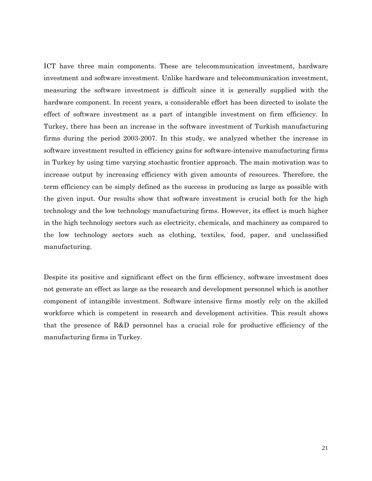ICT have three main components. These are telecommunication investment, hardware investment and software investment. Unlike hardware and telecommunication investment, measuring the software investment is difficult since it is generally supplied with the hardware component. In recent years, a considerable effort has been directed to isolate the effect of software investment as a part of intangible investment on firm efficiency. In Turkey, there has been an increase in the software investment of Turkish manufacturing firms during the period 2003-2007. In this study, we analyzed whether the increase in software investment resulted in efficiency gains for software-intensive manufacturing firms in Turkey by using time varying stochastic frontier approach. The main motivation was to increase output by increasing efficiency with given amounts of resources. Therefore, the term efficiency can be simply defined as the success in producing as large as possible with the given input. Our results show that software investment is crucial both for the high technology and the low technology manufacturing firms. However, its effect is much higher in the high technology sectors such as electricity, chemicals, and machinery as compared to the low technology sectors such as clothing, textiles, food, paper, and unclassified manufacturing.

Despite its positive and significant effect on the firm efficiency, software investment does not generate an effect as large as the research and development personnel which is another component of intangible investment. Software intensive firms mostly rely on the skilled workforce which is competent in research and development activities. This result shows that the presence of R&D personnel has a crucial role for productive efficiency of the manufacturing firms in Turkey.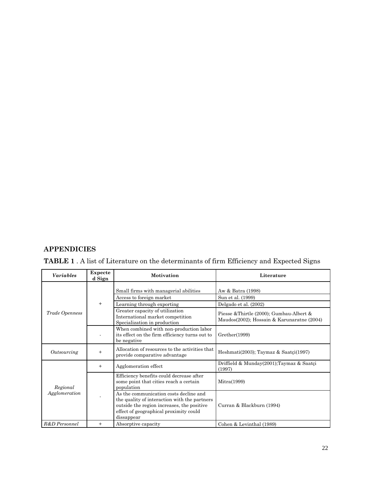# **APPENDICIES**

| <b>TABLE 1</b> . A list of Literature on the determinants of firm Efficiency and Expected Signs |  |  |  |  |
|-------------------------------------------------------------------------------------------------|--|--|--|--|
|-------------------------------------------------------------------------------------------------|--|--|--|--|

| <b>Variables</b>          | Expecte<br>d Sign | <b>Motivation</b>                                                                                                                                                                            | Literature                                                                             |
|---------------------------|-------------------|----------------------------------------------------------------------------------------------------------------------------------------------------------------------------------------------|----------------------------------------------------------------------------------------|
|                           |                   | Small firms with managerial abilities                                                                                                                                                        | Aw & Batra (1998)                                                                      |
| $+$                       |                   | Access to foreign market                                                                                                                                                                     | Sun et al. (1999)                                                                      |
|                           |                   | Learning through exporting                                                                                                                                                                   | Delgado et al. (2002)                                                                  |
| Trade Openness            |                   | Greater capacity of utilization<br>International market competition<br>Specialization in production                                                                                          | Piesse & Thirtle (2000); Gumbau-Albert &<br>Maudos(2002); Hossain & Karunaratne (2004) |
|                           |                   | When combined with non-production labor<br>its effect on the firm efficiency turns out to<br>be negative                                                                                     | Grether(1999)                                                                          |
| Outsourcing               | $^{+}$            | Allocation of resources to the activities that<br>provide comparative advantage                                                                                                              | Heshmati $(2003)$ ; Taymaz & Saatçi $(1997)$                                           |
|                           | $+$               | Agglomeration effect                                                                                                                                                                         | Driffield & Munday(2001); Taymaz & Saatçi<br>(1997)                                    |
| Regional<br>Agglomeration |                   | Efficiency benefits could decrease after<br>some point that cities reach a certain<br>population                                                                                             | Mitra(1999)                                                                            |
|                           |                   | As the communication costs decline and<br>the quality of interaction with the partners<br>outside the region increases, the positive<br>effect of geographical proximity could<br>dissappear | Curran & Blackburn (1994)                                                              |
| R&D Personnel             | $^{+}$            | Absorptive capacity                                                                                                                                                                          | Cohen & Levinthal (1989)                                                               |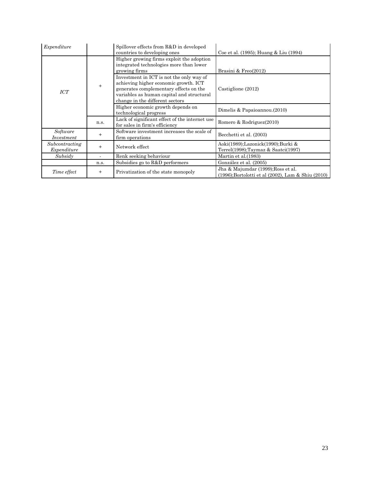| Expenditure                   |                                                                                                       | Spillover effects from R&D in developed<br>countries to developing ones                                                                                                                                     | Coe et al. (1995); Huang & Liu (1994)                                                    |
|-------------------------------|-------------------------------------------------------------------------------------------------------|-------------------------------------------------------------------------------------------------------------------------------------------------------------------------------------------------------------|------------------------------------------------------------------------------------------|
|                               | Higher growing firms exploit the adoption<br>integrated technologies more than lower<br>growing firms |                                                                                                                                                                                                             | Brasini & Freo(2012)                                                                     |
| ICT                           | $^{+}$                                                                                                | Investment in ICT is not the only way of<br>achieving higher economic growth. ICT<br>generates complementary effects on the<br>variables as human capital and structural<br>change in the different sectors | Castiglione (2012)                                                                       |
|                               |                                                                                                       | Higher economic growth depends on<br>technological progress                                                                                                                                                 | Dimelis & Papaioannou.(2010)                                                             |
|                               | n.s.                                                                                                  | Lack of significant effect of the internet use<br>for sales in firm's efficiency                                                                                                                            | Romero & Rodriguez(2010)                                                                 |
| Software<br>Investment        | $^{+}$                                                                                                | Software investment increases the scale of<br>firm operations                                                                                                                                               | Becchetti et al. (2003)                                                                  |
| Subcontracting<br>Expenditure | $^{+}$                                                                                                | Network effect                                                                                                                                                                                              | Aoki(1989);Lazonick(1990);Burki &<br>Terrel(1998);Taymaz & Saatci(1997)                  |
| Subsidy                       |                                                                                                       | Renk seeking behaviour                                                                                                                                                                                      | Martin et al. (1983)                                                                     |
|                               | n.s.                                                                                                  | Subsidies go to R&D performers                                                                                                                                                                              | González et al. (2005)                                                                   |
| Time effect                   | $^{+}$                                                                                                | Privatization of the state monopoly                                                                                                                                                                         | Jha & Majumdar (1999); Ross et al.<br>(1996); Bortolotti et al (2002), Lam & Shiu (2010) |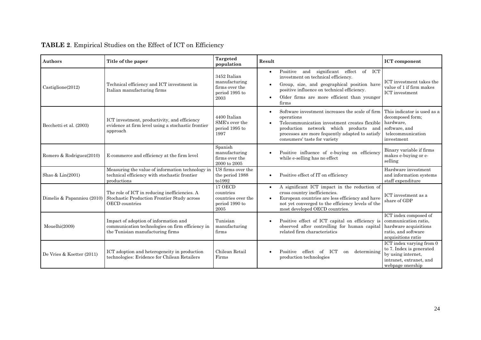| <b>Authors</b>             | Title of the paper                                                                                                            | <b>Targeted</b><br>population                                             | Result                                                                                                                                                                                                                                                 | <b>ICT</b> component                                                                                                                          |
|----------------------------|-------------------------------------------------------------------------------------------------------------------------------|---------------------------------------------------------------------------|--------------------------------------------------------------------------------------------------------------------------------------------------------------------------------------------------------------------------------------------------------|-----------------------------------------------------------------------------------------------------------------------------------------------|
| $\text{Castiglione}(2012)$ | Technical efficiency and ICT investment in<br>Italian manufacturing firms                                                     | 3452 Italian<br>manufacturing<br>firms over the<br>period 1995 to<br>2003 | and significant effect<br>of ICT<br>Positive<br>$\bullet$<br>investment on technical efficiency.<br>Group, size, and geographical position have<br>positive influence on technical efficiency.<br>Older firms are more efficient than younger<br>firms | ICT investment takes the<br>value of 1 if firm makes<br>ICT investment                                                                        |
| Becchetti et al. (2003)    | ICT investment, productivity, and efficiency<br>evidence at firm level using a stochastic frontier<br>approach                | 4400 Italian<br>SME's over the<br>period 1995 to<br>1997                  | Software investment increases the scale of firm<br>operations<br>Telecommunication investment creates flexible<br>production network which products and<br>processes are more fequently adapted to satisfy<br>consumers' taste for variety             | This indicator is used as a<br>decomposed form;<br>hardware,<br>software, and<br>telecommunication<br>investment                              |
| Romero & Rodriguez(2010)   | E-commerce and efficiency at the firm level                                                                                   | Spanish<br>manufacturing<br>firms over the<br>2000 to 2005                | Positive influence of e-buying on efficiency<br>while e-selling has no effect                                                                                                                                                                          | Binary variable if firms<br>makes e-buying or e-<br>selling                                                                                   |
| Shao & Lin(2001)           | Measuring the value of information technology in<br>technical efficiency with stochastic frontier<br>productions              | US firms over the<br>the period 1988<br>to 1992                           | Positive effect of IT on efficiency                                                                                                                                                                                                                    | Hardware investment<br>and information systems<br>staff expenditure                                                                           |
| Dimelis & Papanniou (2010) | The role of ICT in reducing inefficiencies. A<br>Stochastic Production Frontier Study across<br><b>OECD</b> countries         | 17 OECD<br>countries<br>countries over the<br>period 1990 to<br>2005      | A significant ICT impact in the reduction of<br>$\bullet$<br>cross country inefficiencies.<br>European countries are less efficiency and have<br>$\bullet$<br>not yet converged to the efficiency levels of the<br>most developed OECD countries.      | ICT investment as a<br>share of GDP                                                                                                           |
| Mouelhi(2009)              | Impact of adoption of information and<br>communication technologies on firm efficiency in<br>the Tunisian manufacturing firms | Tunisian<br>manufacturing<br>firms                                        | Positive effect of ICT capital on efficiency is<br>observed after controlling for human capital<br>related firm characteristics                                                                                                                        | ICT index composed of<br>communication ratio,<br>hardware acquisitions<br>ratio, and software<br>acquisitions ratio                           |
| De Vries & Koetter (2011)  | ICT adoption and heterogeneity in production<br>technologies: Evidence for Chilean Retailers                                  | Chilean Retail<br>Firms                                                   | effect of ICT<br>Positive<br>determining<br>on<br>production technologies                                                                                                                                                                              | $\overline{\text{ICT}}$ index varying from 0<br>to 7. Index is generated<br>by using internet,<br>intranet, extranet, and<br>webpage onership |

# **TABLE 2**. Empirical Studies on the Effect of ICT on Efficiency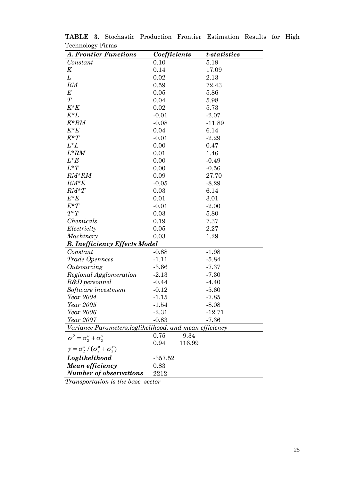| <b>A. Frontier Functions</b>                            | Coefficients |        | <i>t</i> -statistics |  |
|---------------------------------------------------------|--------------|--------|----------------------|--|
| Constant                                                | 0.10         |        | 5.19                 |  |
| K                                                       | 0.14         |        | 17.09                |  |
| L                                                       | 0.02         |        | 2.13                 |  |
| RM                                                      | 0.59         |        | 72.43                |  |
| $\boldsymbol{E}$                                        | 0.05         |        | 5.86                 |  |
| T                                                       | 0.04         |        | 5.98                 |  |
| $K^*K$                                                  | 0.02         |        | 5.73                 |  |
| $K^*L$                                                  | $-0.01$      |        | $-2.07$              |  |
| $K^*RM$                                                 | $-0.08$      |        | $-11.89$             |  |
| $K^*E$                                                  | 0.04         |        | 6.14                 |  |
| $K^*T$                                                  | $-0.01$      |        | $-2.29$              |  |
| $L^*L$                                                  | 0.00         |        | 0.47                 |  |
| $L^*RM$                                                 | 0.01         |        | 1.46                 |  |
| $L^*E$                                                  | 0.00         |        | $-0.49$              |  |
| $L^*T$                                                  | 0.00         |        | $-0.56$              |  |
| $RM^*RM$                                                | 0.09         |        | 27.70                |  |
| $RM*E$                                                  | $-0.05$      |        | $-8.29$              |  |
| $RM^*T$                                                 | 0.03         |        | 6.14                 |  |
| $E^*E$                                                  | 0.01         |        | 3.01                 |  |
| $E^*T$                                                  | $-0.01$      |        | $-2.00$              |  |
| $T^*T$                                                  | 0.03         |        | 5.80                 |  |
| Chemicals                                               | 0.19         |        | 7.37                 |  |
| Electricity                                             | 0.05         |        | 2.27                 |  |
| Machinery                                               | 0.03         |        | 1.29                 |  |
| <b>B.</b> Inefficiency Effects Model                    |              |        |                      |  |
| Constant                                                | $-0.88$      |        | $-1.98$              |  |
| Trade Openness                                          | $-1.11$      |        | $-5.84$              |  |
| Outsourcing                                             | $-3.66$      |        | $-7.37$              |  |
| Regional Agglomeration                                  | $-2.13$      |        | $-7.30$              |  |
| R&D personnel                                           | $-0.44$      |        | $-4.40$              |  |
| Software investment                                     | $-0.12$      |        | $-5.60$              |  |
| Year 2004                                               | $-1.15$      |        | $-7.85$              |  |
| Year 2005                                               | $-1.54$      |        | $-8.08$              |  |
| Year 2006                                               | $-2.31$      |        | -12.71               |  |
| Year 2007                                               | $-0.83$      |        | $-7.36$              |  |
| Variance Parameters, loglikelihood, and mean efficiency |              |        |                      |  |
| $\sigma^2 = \sigma_2^u + \sigma_2^v$                    | 0.75         | 9.34   |                      |  |
| $\gamma = \sigma_2^u / (\sigma_2^u + \sigma_2^v)$       | 0.94         | 116.99 |                      |  |
| Loglikelihood                                           | $-357.52$    |        |                      |  |
| <b>Mean efficiency</b>                                  | 0.83         |        |                      |  |
| <b>Number of observations</b>                           | 2212         |        |                      |  |

**TABLE 3**. Stochastic Production Frontier Estimation Results for High Technology Firms

*Transportation is the base sector*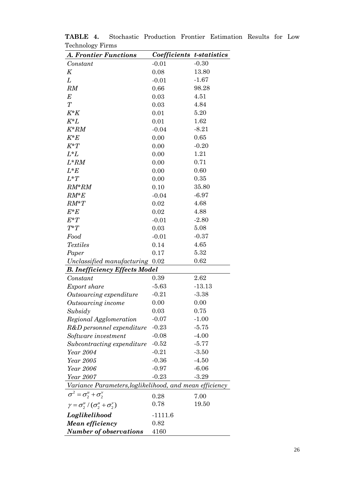| $\sim$<br><b>A. Frontier Functions</b>                               | Coefficients t-statistics |          |
|----------------------------------------------------------------------|---------------------------|----------|
| Constant                                                             | $-0.01$                   | $-0.30$  |
| K                                                                    | 0.08                      | 13.80    |
| L                                                                    | $-0.01$                   | $-1.67$  |
| RM                                                                   | 0.66                      | 98.28    |
| $\boldsymbol{E}$                                                     | 0.03                      | 4.51     |
| $\overline{T}$                                                       | 0.03                      | 4.84     |
| $K^*K$                                                               | 0.01                      | 5.20     |
| $K^*L$                                                               | 0.01                      | 1.62     |
| $K^*RM$                                                              | $-0.04$                   | $-8.21$  |
| $K^*E$                                                               | 0.00                      | 0.65     |
| $K^*T$                                                               | 0.00                      | $-0.20$  |
| $L^*L$                                                               | 0.00                      | 1.21     |
| $L^*RM$                                                              | 0.00                      | 0.71     |
| $L^*E$                                                               | 0.00                      | 0.60     |
| $L^*T$                                                               | 0.00                      | 0.35     |
| $RM^*RM$                                                             | 0.10                      | 35.80    |
| $RM^*E$                                                              | $-0.04$                   | $-6.97$  |
| $RM^*T$                                                              | 0.02                      | 4.68     |
| $E^*E$                                                               | 0.02                      | 4.88     |
| $E^*T$                                                               | $-0.01$                   | $-2.80$  |
| $T^*T$                                                               | 0.03                      | 5.08     |
| Food                                                                 | $-0.01$                   | $-0.37$  |
| <b>Textiles</b>                                                      | 0.14                      | 4.65     |
| Paper                                                                | 0.17                      | 5.32     |
| Unclassified manufacturing 0.02                                      |                           | 0.62     |
| <b>B. Inefficiency Effects Model</b>                                 |                           |          |
| Constant                                                             | 0.39                      | 2.62     |
| Export share                                                         | $-5.63$                   | $-13.13$ |
| Outsourcing expenditure                                              | $-0.21$                   | $-3.38$  |
| Outsourcing income                                                   | 0.00                      | 0.00     |
| Subsidy                                                              | 0.03                      | 0.75     |
| Regional Agglomeration                                               | $-0.07$                   | $-1.00$  |
| R&D personnel expenditure                                            | $-0.23$                   | $-5.75$  |
| Software investment                                                  | $-0.08$                   | $-4.00$  |
| Subcontracting expenditure                                           | $-0.52$                   | $-5.77$  |
| Year 2004                                                            | $-0.21$                   | $-3.50$  |
| Year 2005                                                            | $-0.36$                   | $-4.50$  |
| Year 2006                                                            | $-0.97$                   | $-6.06$  |
| Year 2007<br>Variance Parameters, loglikelihood, and mean efficiency | $-0.23$                   | $-3.29$  |
|                                                                      |                           |          |
| $\sigma^2 = \sigma_2^u + \sigma_2^v$                                 | 0.28                      | 7.00     |
| $\gamma = \sigma_2^u / (\sigma_2^u + \sigma_2^v)$                    | 0.78                      | 19.50    |
| Loglikelihood                                                        | $-1111.6$                 |          |
| Mean efficiency                                                      | 0.82                      |          |
| <b>Number of observations</b>                                        | 4160                      |          |

**TABLE 4.** Stochastic Production Frontier Estimation Results for Low Technology Firms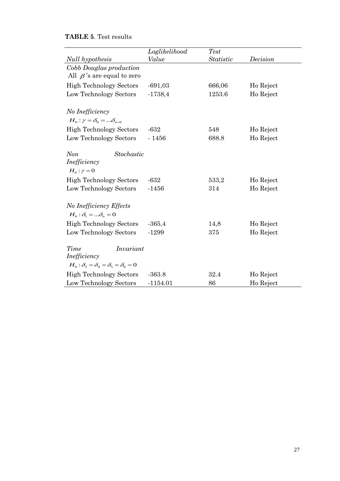# **TABLE 5**. Test results

|                                                                                           | Loglikelihood | <b>Test</b>      |           |
|-------------------------------------------------------------------------------------------|---------------|------------------|-----------|
| Null hypothesis                                                                           | Value         | <i>Statistic</i> | Decision  |
| Cobb Douglas production<br>All $\beta$ 's are equal to zero                               |               |                  |           |
| <b>High Technology Sectors</b>                                                            | $-691,03$     | 666,06           | Ho Reject |
| Low Technology Sectors                                                                    | $-1738,4$     | 1253.6           | Ho Reject |
| No Inefficiency<br>$H_0: \gamma = \delta_0 =  \delta_{n=0}$                               |               |                  |           |
| <b>High Technology Sectors</b>                                                            | $-632$        | 548              | Ho Reject |
| Low Technology Sectors                                                                    | $-1456$       | 688.8            | Ho Reject |
| <b>Non</b><br>Stochastic<br>Inefficiency<br>$H_0: \gamma = 0$                             |               |                  |           |
| <b>High Technology Sectors</b>                                                            | $-632$        | 533,2            | Ho Reject |
| Low Technology Sectors                                                                    | $-1456$       | 314              | Ho Reject |
| No Inefficiency Effects<br>$H_0: \delta_1 =  \delta_n = 0$                                |               |                  |           |
| <b>High Technology Sectors</b>                                                            | $-365,4$      | 14,8             | Ho Reject |
| Low Technology Sectors                                                                    | $-1299$       | 375              | Ho Reject |
| Time<br>Invariant<br>Inefficiency<br>$H_0: \delta_3 = \delta_4 = \delta_5 = \delta_6 = 0$ |               |                  |           |
| <b>High Technology Sectors</b>                                                            | $-363.8$      | 32.4             | Ho Reject |
| Low Technology Sectors                                                                    | $-1154.01$    | 86               | Ho Reject |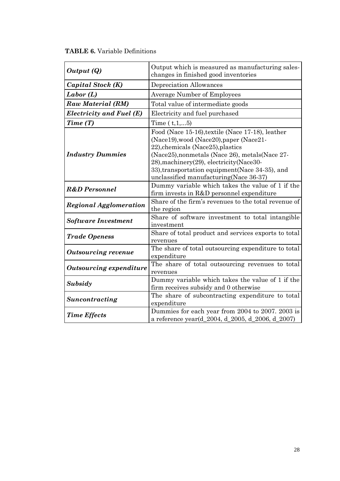| Output (Q)                                                 | Output which is measured as manufacturing sales-<br>changes in finished good inventories                                                                                                                                                                                                                                        |
|------------------------------------------------------------|---------------------------------------------------------------------------------------------------------------------------------------------------------------------------------------------------------------------------------------------------------------------------------------------------------------------------------|
| Capital Stock (K)                                          | Depreciation Allowances                                                                                                                                                                                                                                                                                                         |
| Labor(L)                                                   | <b>Average Number of Employees</b>                                                                                                                                                                                                                                                                                              |
| Raw Material (RM)                                          | Total value of intermediate goods                                                                                                                                                                                                                                                                                               |
| Electricity and Fuel (E)<br>Electricity and fuel purchased |                                                                                                                                                                                                                                                                                                                                 |
| Time(T)                                                    | Time $(t, 1,  5)$                                                                                                                                                                                                                                                                                                               |
| <b>Industry Dummies</b>                                    | Food (Nace 15-16), textile (Nace 17-18), leather<br>(Nace19), wood (Nace20), paper (Nace21-<br>22), chemicals (Nace25), plastics<br>(Nace 25), nonmetals (Nace 26), metals (Nace 27-<br>28), machinery (29), electricity (Nace 30-<br>33), transportation equipment (Nace 34-35), and<br>unclassified manufacturing(Nace 36-37) |
| <b>R&amp;D</b> Personnel                                   | Dummy variable which takes the value of 1 if the<br>firm invests in R&D personnel expenditure                                                                                                                                                                                                                                   |
| <b>Regional Agglomeration</b>                              | Share of the firm's revenues to the total revenue of<br>the region                                                                                                                                                                                                                                                              |
| <b>Software Investment</b>                                 | Share of software investment to total intangible<br>investment                                                                                                                                                                                                                                                                  |
| <b>Trade Openess</b>                                       | Share of total product and services exports to total<br>revenues                                                                                                                                                                                                                                                                |
| <b>Outsourcing revenue</b>                                 | The share of total outsourcing expenditure to total<br>expenditure                                                                                                                                                                                                                                                              |
| <b>Outsourcing expenditure</b>                             | The share of total outsourcing revenues to total<br>revenues                                                                                                                                                                                                                                                                    |
| Subsidy                                                    | Dummy variable which takes the value of 1 if the<br>firm receives subsidy and 0 otherwise                                                                                                                                                                                                                                       |
| Suncontracting                                             | The share of subcontracting expenditure to total<br>expenditure                                                                                                                                                                                                                                                                 |
| <b>Time Effects</b>                                        | Dummies for each year from 2004 to 2007. 2003 is<br>a reference year(d_2004, d_2005, d_2006, d_2007)                                                                                                                                                                                                                            |

**TABLE 6.** Variable Definitions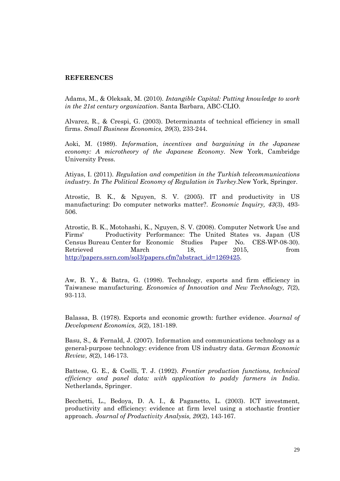### **REFERENCES**

Adams, M., & Oleksak, M. (2010). *Intangible Capital: Putting knowledge to work in the 21st century organization*. Santa Barbara, ABC-CLIO.

Alvarez, R., & Crespi, G. (2003). Determinants of technical efficiency in small firms. *Small Business Economics, 20*(3), 233-244.

Aoki, M. (1989). *Information, incentives and bargaining in the Japanese economy: A microtheory of the Japanese Economy*. New York, Cambridge University Press.

Atiyas, I. (2011). *Regulation and competition in the Turkish telecommunications industry. In The Political Economy of Regulation in Turkey*.New York, Springer.

Atrostic, B. K., & Nguyen, S. V. (2005). IT and productivity in US manufacturing: Do computer networks matter?. *Economic Inquiry, 43*(3), 493- 506.

Atrostic, B. K., Motohashi, K., Nguyen, S. V. (2008). Computer Network Use and Firms' Productivity Performance: The United States vs. Japan (US Census Bureau Center for Economic Studies Paper No. CES-WP-08-30). Retrieved March 18, 2015, from [http://papers.ssrn.com/sol3/papers.cfm?abstract\\_id=1269425.](http://papers.ssrn.com/sol3/papers.cfm?abstract_id=1269425)

Aw, B. Y., & Batra, G. (1998). Technology, exports and firm efficiency in Taiwanese manufacturing. *Economics of Innovation and New Technology, 7*(2), 93-113.

Balassa, B. (1978). Exports and economic growth: further evidence. *Journal of Development Economics, 5*(2), 181-189.

Basu, S., & Fernald, J. (2007). Information and communications technology as a general‐purpose technology: evidence from US industry data. *German Economic Review, 8*(2), 146-173.

Battese, G. E., & Coelli, T. J. (1992). *Frontier production functions, technical efficiency and panel data: with application to paddy farmers in India*. Netherlands, Springer.

Becchetti, L., Bedoya, D. A. I., & Paganetto, L. (2003). ICT investment, productivity and efficiency: evidence at firm level using a stochastic frontier approach. *Journal of Productivity Analysis, 20*(2), 143-167.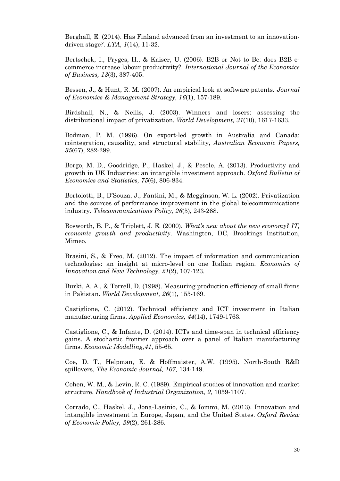Berghall, E. (2014). Has Finland advanced from an investment to an innovationdriven stage*?. LTA, 1*(14), 11-32.

Bertschek, I., Fryges, H., & Kaiser, U. (2006). B2B or Not to Be: does B2B e‐ commerce increase labour productivity?. *International Journal of the Economics of Business, 13*(3), 387-405.

Bessen, J., & Hunt, R. M. (2007). An empirical look at software patents. *Journal of Economics & Management Strategy, 16*(1), 157-189.

Birdshall, N., & Nellis, J. (2003). Winners and losers: assessing the distributional impact of privatization. *World Development, 31*(10), 1617-1633.

Bodman, P. M. (1996). On export-led growth in Australia and Canada: cointegration, causality, and structural stability, *Australian Economic Papers, 35*(67), 282-299.

Borgo, M. D., Goodridge, P., Haskel, J., & Pesole, A. (2013). Productivity and growth in UK Industries: an intangible investment approach. *Oxford Bulletin of Economics and Statistics, 75*(6), 806-834.

Bortolotti, B., D'Souza, J., Fantini, M., & Megginson, W. L. (2002). Privatization and the sources of performance improvement in the global telecommunications industry. *Telecommunications Policy, 26*(5), 243-268.

Bosworth, B. P., & Triplett, J. E. (2000). *What's new about the new economy? IT, economic growth and productivity*. Washington, DC, Brookings Institution, Mimeo.

Brasini, S., & Freo, M. (2012). The impact of information and communication technologies: an insight at micro-level on one Italian region. *Economics of Innovation and New Technology, 21*(2), 107-123.

Burki, A. A., & Terrell, D. (1998). Measuring production efficiency of small firms in Pakistan. *World Development, 26*(1), 155-169.

Castiglione, C. (2012). Technical efficiency and ICT investment in Italian manufacturing firms. *Applied Economics, 44*(14), 1749-1763.

Castiglione, C., & Infante, D. (2014). ICTs and time-span in technical efficiency gains. A stochastic frontier approach over a panel of Italian manufacturing firms. *Economic Modelling,41*, 55-65.

Coe, D. T., Helpman, E. & Hoffmaister, A.W. (1995). North-South R&D spillovers, *The Economic Journal, 107,* 134-149.

Cohen, W. M., & Levin, R. C. (1989). Empirical studies of innovation and market structure. *Handbook of Industrial Organization, 2*, 1059-1107.

Corrado, C., Haskel, J., Jona-Lasinio, C., & Iommi, M. (2013). Innovation and intangible investment in Europe, Japan, and the United States. *Oxford Review of Economic Policy, 29*(2), 261-286.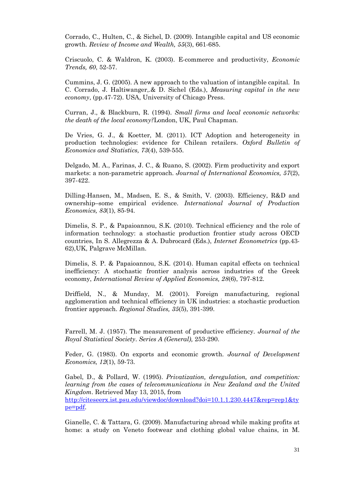Corrado, C., Hulten, C., & Sichel, D. (2009). Intangible capital and US economic growth. *Review of Income and Wealth, 55*(3), 661-685.

Criscuolo, C. & Waldron, K. (2003). E-commerce and productivity, *Economic Trends, 60*, 52-57.

Cummins, J. G. (2005). A new approach to the valuation of intangible capital. In C. Corrado, J. Haltiwanger,.& D. Sichel (Eds.), *Measuring capital in the new economy*, (pp.47-72). USA, University of Chicago Press.

Curran, J., & Blackburn, R. (1994). *Small firms and local economic networks: the death of the local economy?*London, UK, Paul Chapman.

De Vries, G. J., & Koetter, M. (2011). ICT Adoption and heterogeneity in production technologies: evidence for Chilean retailers. *Oxford Bulletin of Economics and Statistics, 73*(4), 539-555.

Delgado, M. A., Farinas, J. C., & Ruano, S. (2002). Firm productivity and export markets: a non-parametric approach. *Journal of International Economics, 57*(2), 397-422.

Dilling-Hansen, M., Madsen, E. S., & Smith, V. (2003). Efficiency, R&D and ownership–some empirical evidence. *International Journal of Production Economics, 83*(1), 85-94.

Dimelis, S. P., & Papaioannou, S.K. (2010). Technical efficiency and the role of information technology: a stochastic production frontier study across OECD countries, In S. Allegrezza & A. Dubrocard (Eds.), *Internet Econometrics* (pp.43- 62),UK, Palgrave McMillan.

Dimelis, S. P. & Papaioannou, S.K. (2014). Human capital effects on technical inefficiency: A stochastic frontier analysis across industries of the Greek economy, *International Review of Applied Economics, 28*(6), 797-812.

Driffield, N., & Munday, M. (2001). Foreign manufacturing, regional agglomeration and technical efficiency in UK industries: a stochastic production frontier approach. *Regional Studies, 35*(5), 391-399.

Farrell, M. J. (1957). The measurement of productive efficiency. *Journal of the Royal Statistical Society*. *Series A (General),* 253-290.

Feder, G. (1983). On exports and economic growth. *Journal of Development Economics, 12*(1), 59-73.

Gabel, D., & Pollard, W. (1995). *Privatization, deregulation, and competition: learning from the cases of telecommunications in New Zealand and the United Kingdom*. Retrieved May 13, 2015, from

[http://citeseerx.ist.psu.edu/viewdoc/download?doi=10.1.1.230.4447&rep=rep1&ty](http://citeseerx.ist.psu.edu/viewdoc/download?doi=10.1.1.230.4447&rep=rep1&type=pdf) [pe=pdf.](http://citeseerx.ist.psu.edu/viewdoc/download?doi=10.1.1.230.4447&rep=rep1&type=pdf)

Gianelle, C. & Tattara, G. (2009). Manufacturing abroad while making profits at home: a study on Veneto footwear and clothing global value chains, in M.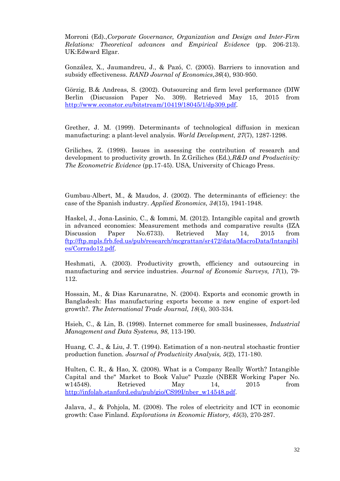Morroni (Ed).,*Corporate Governance, Organization and Design and Inter-Firm Relations: Theoretical advances and Empirical Evidence* (pp. 206-213). UK:Edward Elgar.

González, X., Jaumandreu, J., & Pazó, C. (2005). Barriers to innovation and subsidy effectiveness. *RAND Journal of Economics*,*36*(4), 930-950.

Görzig, B.& Andreas, S. (2002). Outsourcing and firm level performance (DIW Berlin (Discussion Paper No. 309). Retrieved May 15, 2015 from [http://www.econstor.eu/bitstream/10419/18045/1/dp309.pdf.](http://www.econstor.eu/bitstream/10419/18045/1/dp309.pdf)

Grether, J. M. (1999). Determinants of technological diffusion in mexican manufacturing: a plant-level analysis. *World Development, 27*(7), 1287-1298.

Griliches, Z. (1998). Issues in assessing the contribution of research and development to productivity growth. In Z.Griliches (Ed.),*R&D and Productivity: The Econometric Evidence* (pp.17-45). USA, University of Chicago Press.

Gumbau-Albert, M., & Maudos, J. (2002). The determinants of efficiency: the case of the Spanish industry. *Applied Economics, 34*(15), 1941-1948.

Haskel, J., Jona-Lasinio, C., & Iommi, M. (2012). Intangible capital and growth in advanced economies: Measurement methods and comparative results (IZA Discussion Paper No.6733). Retrieved May 14, 2015 from [ftp://ftp.mpls.frb.fed.us/pub/research/mcgrattan/sr472/data/MacroData/Intangibl](ftp://ftp.mpls.frb.fed.us/pub/research/mcgrattan/sr472/data/MacroData/Intangibles/Corrado12.pdf) [es/Corrado12.pdf.](ftp://ftp.mpls.frb.fed.us/pub/research/mcgrattan/sr472/data/MacroData/Intangibles/Corrado12.pdf)

Heshmati, A. (2003). Productivity growth, efficiency and outsourcing in manufacturing and service industries. *Journal of Economic Surveys, 17*(1), 79- 112.

Hossain, M., & Dias Karunaratne, N. (2004). Exports and economic growth in Bangladesh: Has manufacturing exports become a new engine of export-led growth?. *The International Trade Journal, 18*(4), 303-334.

Hsieh, C., & Lin, B. (1998). Internet commerce for small businesses, *Industrial Management and Data Systems, 98*, 113-190.

Huang, C. J., & Liu, J. T. (1994). Estimation of a non-neutral stochastic frontier production function. *Journal of Productivity Analysis, 5*(2), 171-180.

Hulten, C. R., & Hao, X. (2008). What is a Company Really Worth? Intangible Capital and the" Market to Book Value" Puzzle (NBER Working Paper No. w14548). Retrieved May 14, 2015 from [http://infolab.stanford.edu/pub/gio/CS99I/nber\\_w14548.pdf.](http://infolab.stanford.edu/pub/gio/CS99I/nber_w14548.pdf)

Jalava, J., & Pohjola, M. (2008). The roles of electricity and ICT in economic growth: Case Finland. *Explorations in Economic History, 45*(3), 270-287.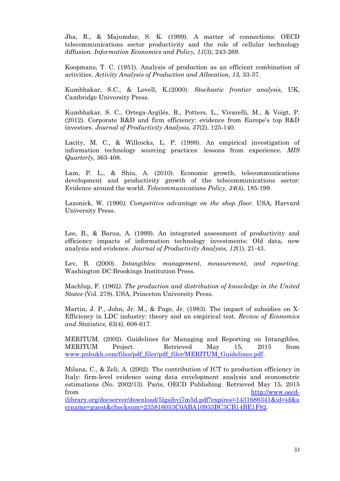Jha, R., & Majumdar, S. K. (1999). A matter of connections: OECD telecommunications sector productivity and the role of cellular technology diffusion. *Information Economics and Policy, 11*(3), 243-269.

Koopmans, T. C. (1951). Analysis of production as an efficient combination of activities. *Activity Analysis of Production and Allocation, 13,* 33-37.

Kumbhakar, S.C., & Lovell, K.(2000). *Stochastic frontier analysis*, UK, Cambridge University Press.

Kumbhakar, S. C., Ortega-Argilés, R., Potters, L., Vivarelli, M., & Voigt, P. (2012). Corporate R&D and firm efficiency: evidence from Europe's top R&D investors. *Journal of Productivity Analysis, 37*(2), 125-140.

Lacity, M. C., & Willcocks, L. P. (1998). An empirical investigation of information technology sourcing practices: lessons from experience. *MIS Quarterly,* 363-408.

Lam, P. L., & Shiu, A. (2010). Economic growth, telecommunications development and productivity growth of the telecommunications sector: Evidence around the world. *Telecommunications Policy, 34*(4), 185-199.

Lazonick, W. (1990*). Competitive advantage on the shop floor*. USA, Harvard University Press.

Lee, B., & Barua, A. (1999). An integrated assessment of productivity and efficiency impacts of information technology investments: Old data, new analysis and evidence. *Journal of Productivity Analysis, 12*(1), 21-43.

Lev, B. (2000). *Intangibles: management, measurement, and reporting*. Washington DC:Brookings Institution Press.

Machlup, F. (1962*). The production and distribution of knowledge in the United States* (Vol. 278). USA, Princeton University Press.

Martin, J. P., John, Jr. M., & Page, Jr. (1983). The impact of subsidies on X-Efficiency in LDC industry: theory and an empirical test. *Review of Economics and Statistics, 65*(4), 608-617.

MERITUM. (2002). Guidelines for Managing and Reporting on Intangibles, MERITUM Project. Retrieved May 15, 2015 from [www.pnbukh.com/files/pdf\\_filer/pdf\\_filer/MERITUM\\_Guidelines.pdf.](http://www.pnbukh.com/files/pdf_filer/pdf_filer/MERITUM_Guidelines.pdf)

Milana, C., & Zeli, A. (2002). The contribution of ICT to production efficiency in Italy: firm-level evidence using data envelopment analysis and econometric estimations (No. 2002/13). Paris, OECD Publishing. Retrieved May 15, 2015 from [http://www.oecd](http://www.oecd-ilibrary.org/docserver/download/5lgsjhvj7m5d.pdf?expires=1431686341&id=id&accname=guest&checksum=235816053C0ABA10933BC3CB14BE1F82)[ilibrary.org/docserver/download/5lgsjhvj7m5d.pdf?expires=1431686341&id=id&a](http://www.oecd-ilibrary.org/docserver/download/5lgsjhvj7m5d.pdf?expires=1431686341&id=id&accname=guest&checksum=235816053C0ABA10933BC3CB14BE1F82)

[ccname=guest&checksum=235816053C0ABA10933BC3CB14BE1F82.](http://www.oecd-ilibrary.org/docserver/download/5lgsjhvj7m5d.pdf?expires=1431686341&id=id&accname=guest&checksum=235816053C0ABA10933BC3CB14BE1F82)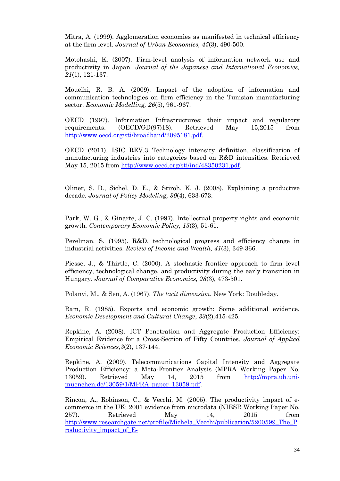Mitra, A. (1999). Agglomeration economies as manifested in technical efficiency at the firm level. *Journal of Urban Economics, 45*(3), 490-500.

Motohashi, K. (2007). Firm-level analysis of information network use and productivity in Japan. *Journal of the Japanese and International Economies, 21*(1), 121-137.

Mouelhi, R. B. A. (2009). Impact of the adoption of information and communication technologies on firm efficiency in the Tunisian manufacturing sector. *Economic Modelling, 26*(5), 961-967.

OECD (1997). Information Infrastructures: their impact and regulatory requirements. (OECD/GD(97)18). Retrieved May 15,2015 from [http://www.oecd.org/sti/broadband/2095181.pdf.](http://www.oecd.org/sti/broadband/2095181.pdf)

OECD (2011). ISIC REV.3 Technology intensity definition, classification of manufacturing industries into categories based on R&D intensities. Retrieved May 15, 2015 from [http://www.oecd.org/sti/ind/48350231.pdf.](http://www.oecd.org/sti/ind/48350231.pdf)

Oliner, S. D., Sichel, D. E., & Stiroh, K. J. (2008). Explaining a productive decade. *Journal of Policy Modeling, 30*(4), 633-673.

Park, W. G., & Ginarte, J. C. (1997). Intellectual property rights and economic growth*. Contemporary Economic Policy, 15*(3), 51-61.

Perelman, S. (1995). R&D, technological progress and efficiency change in industrial activities. *Review of Income and Wealth, 41*(3), 349-366.

Piesse, J., & Thirtle, C. (2000). A stochastic frontier approach to firm level efficiency, technological change, and productivity during the early transition in Hungary. *Journal of Comparative Economics, 28*(3), 473-501.

Polanyi, M., & Sen, A. (1967). *The tacit dimension*. New York: Doubleday.

Ram, R. (1985). Exports and economic growth: Some additional evidence. *Economic Development and Cultural Change*, *33*(2),415-425.

Repkine, A. (2008). ICT Penetration and Aggregate Production Efficiency: Empirical Evidence for a Cross-Section of Fifty Countries. *Journal of Applied Economic Sciences,3*(2), 137-144.

Repkine, A. (2009). Telecommunications Capital Intensity and Aggregate Production Efficiency: a Meta-Frontier Analysis (MPRA Working Paper No. 13059). Retrieved May 14, 2015 from [http://mpra.ub.uni](http://mpra.ub.uni-muenchen.de/13059/1/MPRA_paper_13059.pdf)[muenchen.de/13059/1/MPRA\\_paper\\_13059.pdf.](http://mpra.ub.uni-muenchen.de/13059/1/MPRA_paper_13059.pdf)

Rincon, A., Robinson, C., & Vecchi, M. (2005). The productivity impact of ecommerce in the UK: 2001 evidence from microdata (NIESR Working Paper No. 257). Retrieved May 14, 2015 from [http://www.researchgate.net/profile/Michela\\_Vecchi/publication/5200599\\_The\\_P](http://www.researchgate.net/profile/Michela_Vecchi/publication/5200599_The_Productivity_impact_of_E-Commerce_in_the_UK_2001_Evidence_from_microdata/links/09e4150a4a6e814ae1000000.pdf) [roductivity\\_impact\\_of\\_E-](http://www.researchgate.net/profile/Michela_Vecchi/publication/5200599_The_Productivity_impact_of_E-Commerce_in_the_UK_2001_Evidence_from_microdata/links/09e4150a4a6e814ae1000000.pdf)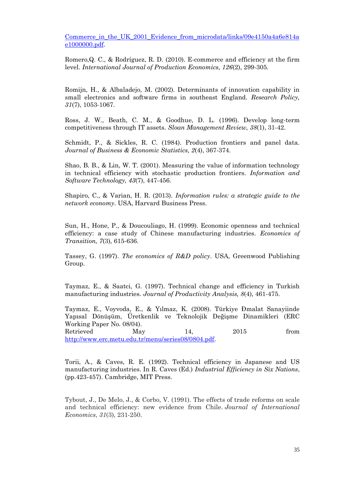Commerce in the UK 2001 Evidence from microdata/links/09e4150a4a6e814a [e1000000.pdf.](http://www.researchgate.net/profile/Michela_Vecchi/publication/5200599_The_Productivity_impact_of_E-Commerce_in_the_UK_2001_Evidence_from_microdata/links/09e4150a4a6e814ae1000000.pdf)

Romero,Q. C., & Rodríguez, R. D. (2010). E-commerce and efficiency at the firm level. *International Journal of Production Economics, 126*(2), 299-305.

Romijn, H., & Albaladejo, M. (2002). Determinants of innovation capability in small electronics and software firms in southeast England. *Research Policy, 31*(7), 1053-1067.

Ross, J. W., Beath, C. M., & Goodhue, D. L. (1996). Develop long-term competitiveness through IT assets. *Sloan Management Review, 38*(1), 31-42.

Schmidt, P., & Sickles, R. C. (1984). Production frontiers and panel data. *Journal of Business & Economic Statistics, 2*(4), 367-374.

Shao, B. B., & Lin, W. T. (2001). Measuring the value of information technology in technical efficiency with stochastic production frontiers*. Information and Software Technology, 43*(7), 447-456.

Shapiro, C., & Varian, H. R. (2013). *Information rules: a strategic guide to the network economy*. USA, Harvard Business Press.

Sun, H., Hone, P., & Doucouliago, H. (1999). Economic openness and technical efficiency: a case study of Chinese manufacturing industries. *Economics of Transition, 7*(3), 615-636.

Tassey, G. (1997). *The economics of R&D policy*. USA, Greenwood Publishing Group.

Taymaz, E., & Saatci, G. (1997). Technical change and efficiency in Turkish manufacturing industries. *Journal of Productivity Analysis, 8*(4), 461-475.

Taymaz, E., Voyvoda, E., & Yılmaz, K. (2008). Türkiye Đmalat Sanayiinde Yapısal Dönüşüm, Üretkenlik ve Teknolojik Değişme Dinamikleri (ERC Working Paper No. 08/04). Retrieved May 14, 2015 from [http://www.erc.metu.edu.tr/menu/series08/0804.pdf.](http://www.erc.metu.edu.tr/menu/series08/0804.pdf)

Torii, A., & Caves, R. E. (1992). Technical efficiency in Japanese and US manufacturing industries. In R. Caves (Ed.) *Industrial Efficiency in Six Nations*, (pp.423-457). Cambridge, MIT Press.

Tybout, J., De Melo, J., & Corbo, V. (1991). The effects of trade reforms on scale and technical efficiency: new evidence from Chile. *Journal of International Economics*, *31*(3), 231-250.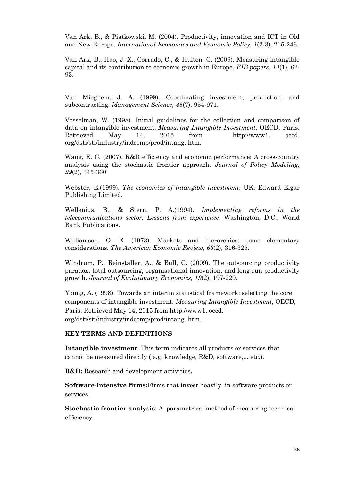Van Ark, B., & Piatkowski, M. (2004). Productivity, innovation and ICT in Old and New Europe. *International Economics and Economic Policy, 1*(2-3), 215-246.

Van Ark, B., Hao, J. X., Corrado, C., & Hulten, C. (2009). Measuring intangible capital and its contribution to economic growth in Europe. *EIB papers, 14*(1), 62- 93.

Van Mieghem, J. A. (1999). Coordinating investment, production, and subcontracting. *Management Science, 45*(7), 954-971.

Vosselman, W. (1998). Initial guidelines for the collection and comparison of data on intangible investment. *Measuring Intangible Investment*, OECD, Paris. Retrieved May 14, 2015 from http://www1. oecd. org/dsti/sti/industry/indcomp/prod/intang. htm.

Wang, E. C. (2007). R&D efficiency and economic performance: A cross-country analysis using the stochastic frontier approach. *Journal of Policy Modeling, 29*(2), 345-360.

Webster, E.(1999). *The economics of intangible investment*, UK, Edward Elgar Publishing Limited.

Wellenius, B., & Stern, P. A.(1994). *Implementing reforms in the telecommunications sector: Lessons from experience*. Washington, D.C., World Bank Publications.

Williamson, O. E. (1973). Markets and hierarchies: some elementary considerations. *The American Economic Review*, *63*(2), 316-325.

Windrum, P., Reinstaller, A., & Bull, C. (2009). The outsourcing productivity paradox: total outsourcing, organisational innovation, and long run productivity growth. *Journal of Evolutionary Economics, 19*(2), 197-229.

Young, A. (1998). Towards an interim statistical framework: selecting the core components of intangible investment. *Measuring Intangible Investment*, OECD, Paris. Retrieved May 14, 2015 from http://www1. oecd. org/dsti/sti/industry/indcomp/prod/intang. htm.

# **KEY TERMS AND DEFINITIONS**

**Intangible investment**: This term indicates all products or services that cannot be measured directly ( e.g. knowledge, R&D, software,... etc.).

**R&D:** Research and development activities**.**

**Software-intensive firms:**Firms that invest heavily in software products or services.

**Stochastic frontier analysis**: A parametrical method of measuring technical efficiency.